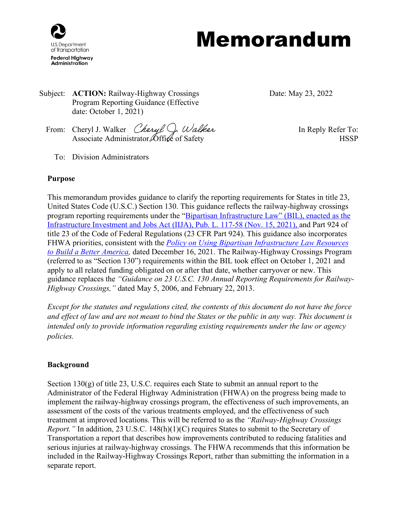

# Memorandum

Subject: **ACTION:** Railway-Highway Crossings Program Reporting Guidance (Effective date: October 1, 2021)

Date: May 23, 2022

- From: Cheryl J. Walker *Cheryl C. Walker* Form: In Reply Refer To: Associate Administrator, Office of Safety **HSSP** 
	- To: Division Administrators

#### **Purpose**

This memorandum provides guidance to clarify the reporting requirements for States in title 23, United States Code (U.S.C.) Section 130. This guidance reflects the railway-highway crossings program reporting requirements under the "Bipartisan Infrastructure Law" (BIL), enacted as the [Infrastructure Investment and Jobs Act \(IIJA\), Pub. L. 117-58 \(Nov. 15, 2021\),](https://www.congress.gov/117/bills/hr3684/BILLS-117hr3684enr.pdf) and Part 924 of title 23 of the Code of Federal Regulations (23 CFR Part 924). This guidance also incorporates FHWA priorities, consistent with the *[Policy on Using Bipartisan Infrastructure Law Resources](https://www.fhwa.dot.gov/bipartisan-infrastructure-law/building_a_better_america-policy_framework.cfm)  [to Build a Better America,](https://www.fhwa.dot.gov/bipartisan-infrastructure-law/building_a_better_america-policy_framework.cfm)* dated December 16, 2021. The Railway-Highway Crossings Program (referred to as "Section 130") requirements within the BIL took effect on October 1, 2021 and apply to all related funding obligated on or after that date, whether carryover or new. This guidance replaces the *"Guidance on 23 U.S.C. 130 Annual Reporting Requirements for Railway-Highway Crossings,"* dated May 5, 2006, and February 22, 2013.

*Except for the statutes and regulations cited, the contents of this document do not have the force and effect of law and are not meant to bind the States or the public in any way. This document is intended only to provide information regarding existing requirements under the law or agency policies.*

#### **Background**

Section 130(g) of title 23, U.S.C. requires each State to submit an annual report to the Administrator of the Federal Highway Administration (FHWA) on the progress being made to implement the railway-highway crossings program, the effectiveness of such improvements, an assessment of the costs of the various treatments employed, and the effectiveness of such treatment at improved locations. This will be referred to as the *"Railway-Highway Crossings Report.*" In addition, 23 U.S.C. 148(h)(1)(C) requires States to submit to the Secretary of Transportation a report that describes how improvements contributed to reducing fatalities and serious injuries at railway-highway crossings. The FHWA recommends that this information be included in the Railway-Highway Crossings Report, rather than submitting the information in a separate report.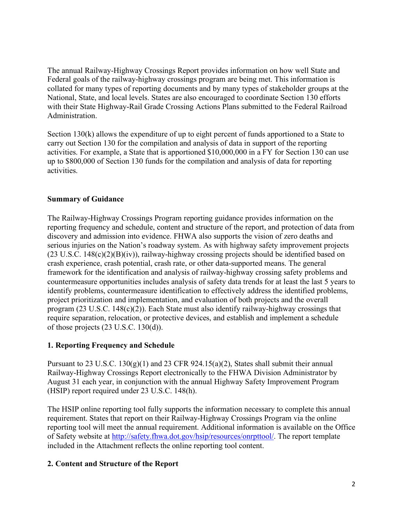The annual Railway-Highway Crossings Report provides information on how well State and Federal goals of the railway-highway crossings program are being met. This information is collated for many types of reporting documents and by many types of stakeholder groups at the National, State, and local levels. States are also encouraged to coordinate Section 130 efforts with their State Highway-Rail Grade Crossing Actions Plans submitted to the Federal Railroad Administration.

Section 130(k) allows the expenditure of up to eight percent of funds apportioned to a State to carry out Section 130 for the compilation and analysis of data in support of the reporting activities. For example, a State that is apportioned \$10,000,000 in a FY for Section 130 can use up to \$800,000 of Section 130 funds for the compilation and analysis of data for reporting activities.

## **Summary of Guidance**

The Railway-Highway Crossings Program reporting guidance provides information on the reporting frequency and schedule, content and structure of the report, and protection of data from discovery and admission into evidence. FHWA also supports the vision of zero deaths and serious injuries on the Nation's roadway system. As with highway safety improvement projects  $(23 \text{ U.S.C. } 148(c)(2)(B)(iv))$ , railway-highway crossing projects should be identified based on crash experience, crash potential, crash rate, or other data-supported means. The general framework for the identification and analysis of railway-highway crossing safety problems and countermeasure opportunities includes analysis of safety data trends for at least the last 5 years to identify problems, countermeasure identification to effectively address the identified problems, project prioritization and implementation, and evaluation of both projects and the overall program (23 U.S.C. 148(c)(2)). Each State must also identify railway-highway crossings that require separation, relocation, or protective devices, and establish and implement a schedule o[f those projects](https://www.law.cornell.edu/definitions/uscode.php?width=840&height=800&iframe=true&def_id=23-USC-309310695-293024746&term_occur=999&term_src=) (23 U.S.C. 130(d)).

# **1. Reporting Frequency and Schedule**

Pursuant to 23 U.S.C. 130(g)(1) and 23 CFR 924.15(a)(2), States shall submit their annual Railway-Highway Crossings Report electronically to the FHWA Division Administrator by August 31 each year, in conjunction with the annual Highway Safety Improvement Program (HSIP) report required under 23 U.S.C. 148(h).

The HSIP online reporting tool fully supports the information necessary to complete this annual requirement. States that report on their Railway-Highway Crossings Program via the online reporting tool will meet the annual requirement. Additional information is available on the Office of Safety website at [http://safety.fhwa.dot.gov/hsip/resources/onrpttool/.](https://safety.fhwa.dot.gov/hsip/resources/onrpttool/) The report template included in the Attachment reflects the online reporting tool content.

# **2. Content and Structure of the Report**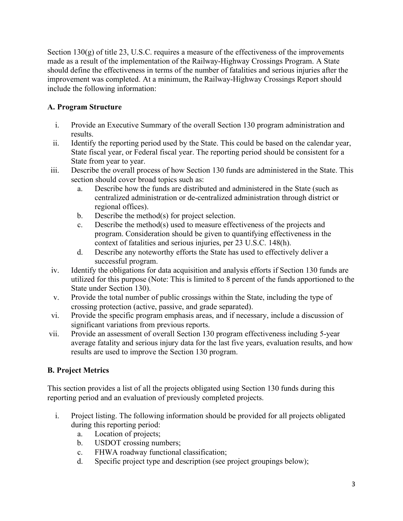Section 130(g) of title 23, U.S.C. requires a measure of the effectiveness of the improvements made as a result of the implementation of the Railway-Highway Crossings Program. A State should define the effectiveness in terms of the number of fatalities and serious injuries after the improvement was completed. At a minimum, the Railway-Highway Crossings Report should include the following information:

# **A. Program Structure**

- i. Provide an Executive Summary of the overall Section 130 program administration and results.
- ii. Identify the reporting period used by the State. This could be based on the calendar year, State fiscal year, or Federal fiscal year. The reporting period should be consistent for a State from year to year.
- iii. Describe the overall process of how Section 130 funds are administered in the State. This section should cover broad topics such as:
	- a. Describe how the funds are distributed and administered in the State (such as centralized administration or de-centralized administration through district or regional offices).
	- b. Describe the method(s) for project selection.
	- c. Describe the method(s) used to measure effectiveness of the projects and program. Consideration should be given to quantifying effectiveness in the context of fatalities and serious injuries, per 23 U.S.C. 148(h).
	- d. Describe any noteworthy efforts the State has used to effectively deliver a successful program.
- iv. Identify the obligations for data acquisition and analysis efforts if Section 130 funds are utilized for this purpose (Note: This is limited to 8 percent of the funds apportioned to the State under Section 130).
- v. Provide the total number of public crossings within the State, including the type of crossing protection (active, passive, and grade separated).
- vi. Provide the specific program emphasis areas, and if necessary, include a discussion of significant variations from previous reports.
- vii. Provide an assessment of overall Section 130 program effectiveness including 5-year average fatality and serious injury data for the last five years, evaluation results, and how results are used to improve the Section 130 program.

# **B. Project Metrics**

This section provides a list of all the projects obligated using Section 130 funds during this reporting period and an evaluation of previously completed projects.

- i. Project listing. The following information should be provided for all projects obligated during this reporting period:
	- a. Location of projects;
	- b. USDOT crossing numbers;
	- c. FHWA roadway functional classification;
	- d. Specific project type and description (see project groupings below);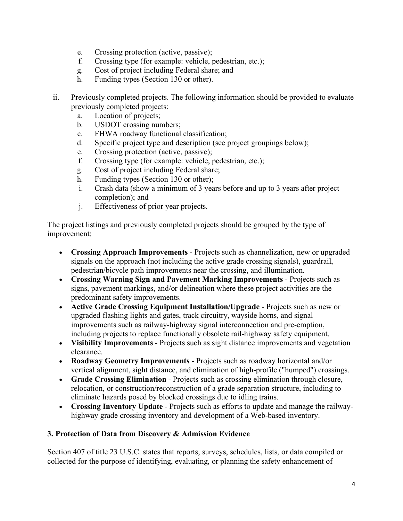- e. Crossing protection (active, passive);
- f. Crossing type (for example: vehicle, pedestrian, etc.);
- g. Cost of project including Federal share; and
- h. Funding types (Section 130 or other).
- ii. Previously completed projects. The following information should be provided to evaluate previously completed projects:
	- a. Location of projects;
	- b. USDOT crossing numbers;
	- c. FHWA roadway functional classification;
	- d. Specific project type and description (see project groupings below);
	- e. Crossing protection (active, passive);
	- f. Crossing type (for example: vehicle, pedestrian, etc.);
	- g. Cost of project including Federal share;
	- h. Funding types (Section 130 or other);
	- i. Crash data (show a minimum of 3 years before and up to 3 years after project completion); and
	- j. Effectiveness of prior year projects.

The project listings and previously completed projects should be grouped by the type of improvement:

- **Crossing Approach Improvements** Projects such as channelization, new or upgraded signals on the approach (not including the active grade crossing signals), guardrail, pedestrian/bicycle path improvements near the crossing, and illumination.
- **Crossing Warning Sign and Pavement Marking Improvements** Projects such as signs, pavement markings, and/or delineation where these project activities are the predominant safety improvements.
- **Active Grade Crossing Equipment Installation/Upgrade** Projects such as new or upgraded flashing lights and gates, track circuitry, wayside horns, and signal improvements such as railway-highway signal interconnection and pre-emption, including projects to replace functionally obsolete rail-highway safety equipment.
- **Visibility Improvements** Projects such as sight distance improvements and vegetation clearance.
- **Roadway Geometry Improvements** Projects such as roadway horizontal and/or vertical alignment, sight distance, and elimination of high-profile ("humped") crossings.
- **Grade Crossing Elimination** Projects such as crossing elimination through closure, relocation, or construction/reconstruction of a grade separation structure, including to eliminate hazards posed by blocked crossings due to idling trains.
- **Crossing Inventory Update** Projects such as efforts to update and manage the railwayhighway grade crossing inventory and development of a Web-based inventory.

## **3. Protection of Data from Discovery & Admission Evidence**

Section 407 of title 23 U.S.C. states that reports, surveys, schedules, lists, or data compiled or collected for the purpose of identifying, evaluating, or planning the safety enhancement of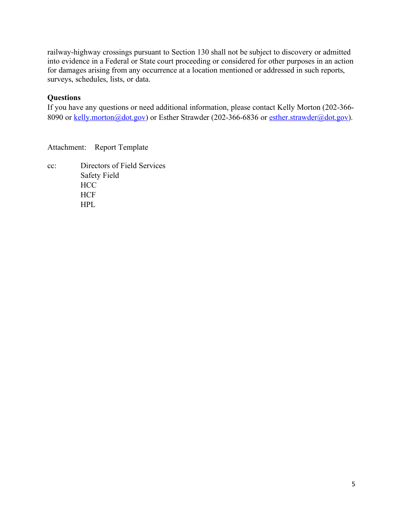railway-highway crossings pursuant to Section 130 shall not be subject to discovery or admitted into evidence in a Federal or State court proceeding or considered for other purposes in an action for damages arising from any occurrence at a location mentioned or addressed in such reports, surveys, schedules, lists, or data.

## **Questions**

If you have any questions or need additional information, please contact Kelly Morton (202-366 8090 or [kelly.morton@dot.gov\)](mailto:kelly.morton@dot.gov) or Esther Strawder (202-366-6836 or [esther.strawder@dot.gov\)](mailto:esther.strawder@dot.gov).

Attachment: Report Template

cc: Directors of Field Services Safety Field **HCC HCF** HPL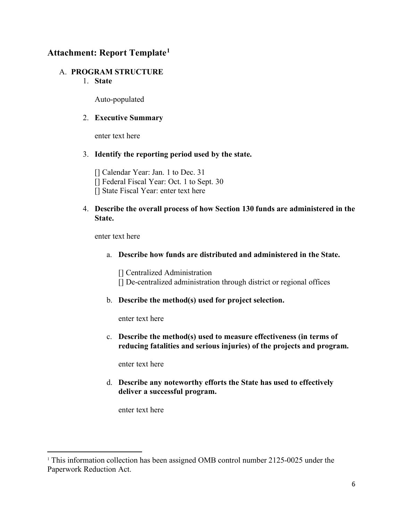# **Attachment: Report Template[1](#page-5-0)**

#### A. **PROGRAM STRUCTURE**

1. **State**

Auto-populated

## 2. **Executive Summary**

enter text here

#### 3. **Identify the reporting period used by the state.**

[] Calendar Year: Jan. 1 to Dec. 31 [] Federal Fiscal Year: Oct. 1 to Sept. 30 [] State Fiscal Year: enter text here

## 4. **Describe the overall process of how Section 130 funds are administered in the State.**

enter text here

a. **Describe how funds are distributed and administered in the State.**

[] Centralized Administration [] De-centralized administration through district or regional offices

b. **Describe the method(s) used for project selection.**

enter text here

c. **Describe the method(s) used to measure effectiveness (in terms of reducing fatalities and serious injuries) of the projects and program.**

enter text here

d. **Describe any noteworthy efforts the State has used to effectively deliver a successful program.**

enter text here

<span id="page-5-0"></span><sup>&</sup>lt;sup>1</sup> This information collection has been assigned OMB control number 2125-0025 under the Paperwork Reduction Act.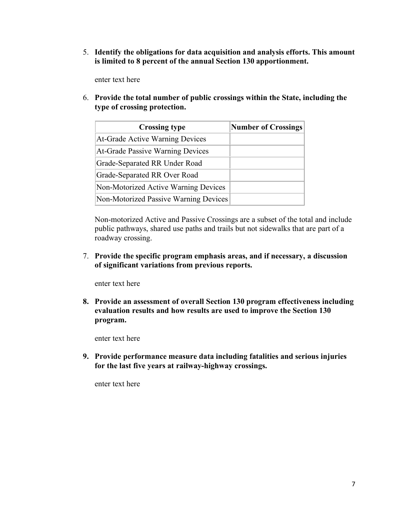5. **Identify the obligations for data acquisition and analysis efforts. This amount is limited to 8 percent of the annual Section 130 apportionment.**

enter text here

6. **Provide the total number of public crossings within the State, including the type of crossing protection.**

| <b>Crossing type</b>                    | <b>Number of Crossings</b> |
|-----------------------------------------|----------------------------|
| At-Grade Active Warning Devices         |                            |
| <b>At-Grade Passive Warning Devices</b> |                            |
| Grade-Separated RR Under Road           |                            |
| Grade-Separated RR Over Road            |                            |
| Non-Motorized Active Warning Devices    |                            |
| Non-Motorized Passive Warning Devices   |                            |

Non-motorized Active and Passive Crossings are a subset of the total and include public pathways, shared use paths and trails but not sidewalks that are part of a roadway crossing.

7. **Provide the specific program emphasis areas, and if necessary, a discussion of significant variations from previous reports.**

enter text here

**8. Provide an assessment of overall Section 130 program effectiveness including evaluation results and how results are used to improve the Section 130 program.** 

enter text here

**9. Provide performance measure data including fatalities and serious injuries for the last five years at railway-highway crossings.**

enter text here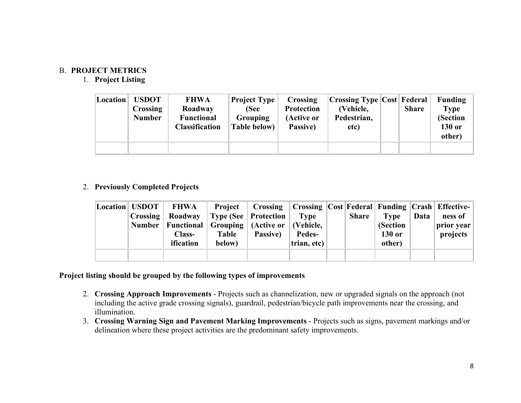## B. **PROJECT METRICS**

## 1. **Project Listing**

| Location | <b>USDOT</b><br><b>Crossing</b><br><b>Number</b> | <b>FHWA</b><br>Roadway<br><b>Functional</b><br><b>Classification</b> | <b>Project Type</b><br>(See<br><b>Grouping</b><br><b>Table below)</b> | Crossing<br><b>Protection</b><br>(Active or<br>Passive) | <b>Crossing Type Cost Federal</b><br>(Vehicle,<br>Pedestrian,<br>etc) | <b>Share</b> | Funding<br><b>Type</b><br>(Section<br>130 or<br>other) |
|----------|--------------------------------------------------|----------------------------------------------------------------------|-----------------------------------------------------------------------|---------------------------------------------------------|-----------------------------------------------------------------------|--------------|--------------------------------------------------------|
|          |                                                  |                                                                      |                                                                       |                                                         |                                                                       |              |                                                        |

## 2. **Previously Completed Projects**

| Location   USDOT | FHWA                                                    |              | <b>Project</b>   Crossing   Crossing   Cost   Federal   Funding   Crash   Effective |               |              |          |      |                    |
|------------------|---------------------------------------------------------|--------------|-------------------------------------------------------------------------------------|---------------|--------------|----------|------|--------------------|
|                  | <b>Crossing</b> Roadway                                 |              | Type (See   Protection                                                              | Type          | <b>Share</b> | Type     | Data | ness of            |
|                  | Number   Functional   Grouping   (Active or   (Vehicle, |              |                                                                                     |               |              | (Section |      | $ $ prior year $ $ |
|                  | <b>Class-</b>                                           | <b>Table</b> | <b>Passive</b> )                                                                    | <b>Pedes-</b> |              | 130 or   |      | projects           |
|                  | ification                                               | below)       |                                                                                     | trian, etc)   |              | other)   |      |                    |
|                  |                                                         |              |                                                                                     |               |              |          |      |                    |

## **Project listing should be grouped by the following types of improvements**

- 2. **Crossing Approach Improvements** Projects such as channelization, new or upgraded signals on the approach (not including the active grade crossing signals), guardrail, pedestrian/bicycle path improvements near the crossing, and illumination.
- 3. **Crossing Warning Sign and Pavement Marking Improvements** Projects such as signs, pavement markings and/or delineation where these project activities are the predominant safety improvements.